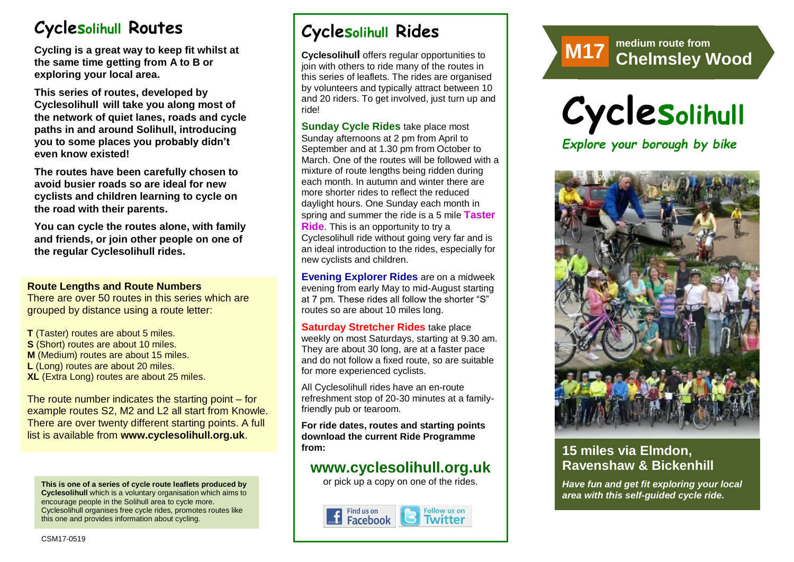# **Cyclesolihull Routes**

**Cycling is a great way to keep fit whilst at the same time getting from A to B or exploring your local area.** 

**This series of routes, developed by Cyclesolihull will take you along most of the network of quiet lanes, roads and cycle paths in and around Solihull, introducing you to some places you probably didn't even know existed!**

**The routes have been carefully chosen to avoid busier roads so are ideal for new cyclists and children learning to cycle on the road with their parents.** 

**You can cycle the routes alone, with family and friends, or join other people on one of the regular Cyclesolihull rides.**

#### **Route Lengths and Route Numbers**

There are over 50 routes in this series which are grouped by distance using a route letter:

**T** (Taster) routes are about 5 miles. **S** (Short) routes are about 10 miles. **M** (Medium) routes are about 15 miles. **L** (Long) routes are about 20 miles. **XL** (Extra Long) routes are about 25 miles.

The route number indicates the starting point – for example routes S2, M2 and L2 all start from Knowle. There are over twenty different starting points. A full list is available from **www.cyclesolihull.org.uk**.

**This is one of a series of cycle route leaflets produced by Cyclesolihull** which is a voluntary organisation which aims to encourage people in the Solihull area to cycle more. Cyclesolihull organises free cycle rides, promotes routes like this one and provides information about cycling.

# **Cyclesolihull Rides**

**Cyclesolihull** offers regular opportunities to join with others to ride many of the routes in this series of leaflets. The rides are organised by volunteers and typically attract between 10 and 20 riders. To get involved, just turn up and ride!

**Sunday Cycle Rides** take place most Sunday afternoons at 2 pm from April to September and at 1.30 pm from October to March. One of the routes will be followed with a mixture of route lengths being ridden during each month. In autumn and winter there are more shorter rides to reflect the reduced daylight hours. One Sunday each month in spring and summer the ride is a 5 mile **Taster Ride**. This is an opportunity to try a Cyclesolihull ride without going very far and is an ideal introduction to the rides, especially for new cyclists and children.

**Evening Explorer Rides** are on a midweek evening from early May to mid-August starting at 7 pm. These rides all follow the shorter "S" routes so are about 10 miles long.

**Saturday Stretcher Rides** take place weekly on most Saturdays, starting at 9.30 am. They are about 30 long, are at a faster pace and do not follow a fixed route, so are suitable for more experienced cyclists.

All Cyclesolihull rides have an en-route refreshment stop of 20-30 minutes at a familyfriendly pub or tearoom.

**For ride dates, routes and starting points download the current Ride Programme from:** 

## **www.cyclesolihull.org.uk**

or pick up a copy on one of the rides.









## **15 miles via Elmdon, Ravenshaw & Bickenhill**

*Have fun and get fit exploring your local area with this self-guided cycle ride.*